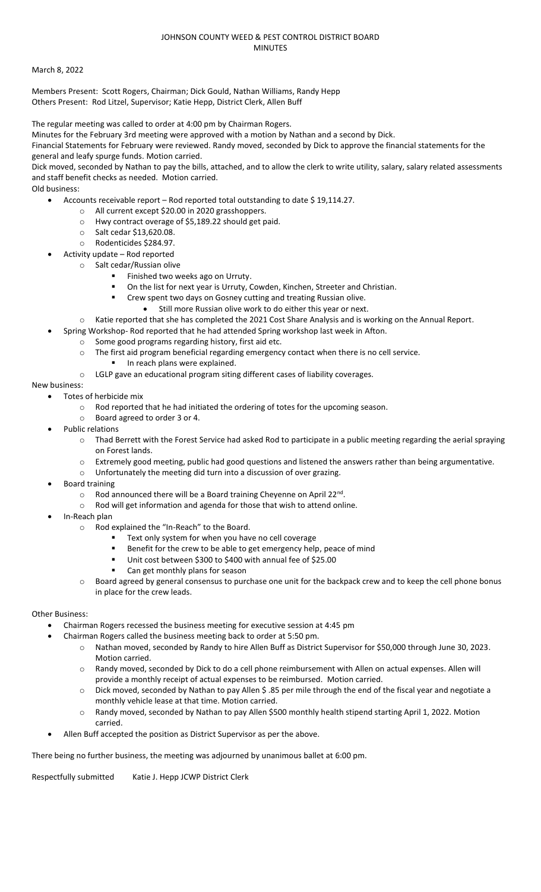#### JOHNSON COUNTY WEED & PEST CONTROL DISTRICT BOARD MINUTES

#### March 8, 2022

Members Present: Scott Rogers, Chairman; Dick Gould, Nathan Williams, Randy Hepp Others Present: Rod Litzel, Supervisor; Katie Hepp, District Clerk, Allen Buff

The regular meeting was called to order at 4:00 pm by Chairman Rogers.

Minutes for the February 3rd meeting were approved with a motion by Nathan and a second by Dick.

Financial Statements for February were reviewed. Randy moved, seconded by Dick to approve the financial statements for the general and leafy spurge funds. Motion carried.

Dick moved, seconded by Nathan to pay the bills, attached, and to allow the clerk to write utility, salary, salary related assessments and staff benefit checks as needed. Motion carried.

Old business:

- Accounts receivable report Rod reported total outstanding to date \$19,114.27.
	- o All current except \$20.00 in 2020 grasshoppers.
	- o Hwy contract overage of \$5,189.22 should get paid.
	- o Salt cedar \$13,620.08.
	- o Rodenticides \$284.97.
- Activity update Rod reported
	- o Salt cedar/Russian olive
		- Finished two weeks ago on Urruty.
			- On the list for next year is Urruty, Cowden, Kinchen, Streeter and Christian.
		- Crew spent two days on Gosney cutting and treating Russian olive.
			- Still more Russian olive work to do either this year or next.
		- o Katie reported that she has completed the 2021 Cost Share Analysis and is working on the Annual Report.
	- Spring Workshop- Rod reported that he had attended Spring workshop last week in Afton.
		- o Some good programs regarding history, first aid etc.
		- o The first aid program beneficial regarding emergency contact when there is no cell service.
			- In reach plans were explained.
		- o LGLP gave an educational program siting different cases of liability coverages.

## New business:

- Totes of herbicide mix
	- o Rod reported that he had initiated the ordering of totes for the upcoming season.
	- o Board agreed to order 3 or 4.
- Public relations
	- $\circ$  Thad Berrett with the Forest Service had asked Rod to participate in a public meeting regarding the aerial spraying on Forest lands.
	- o Extremely good meeting, public had good questions and listened the answers rather than being argumentative.
	- o Unfortunately the meeting did turn into a discussion of over grazing.
- Board training
	- o Rod announced there will be a Board training Cheyenne on April 22<sup>nd</sup>.
	- o Rod will get information and agenda for those that wish to attend online.
	- In-Reach plan
		- o Rod explained the "In-Reach" to the Board.
			- Text only system for when you have no cell coverage<br>■ Benefit for the crew to be able to get emergency help
			- Benefit for the crew to be able to get emergency help, peace of mind
			- Unit cost between \$300 to \$400 with annual fee of \$25.00
			- Can get monthly plans for season
		- o Board agreed by general consensus to purchase one unit for the backpack crew and to keep the cell phone bonus in place for the crew leads.

## Other Business:

- Chairman Rogers recessed the business meeting for executive session at 4:45 pm
- Chairman Rogers called the business meeting back to order at 5:50 pm.
	- o Nathan moved, seconded by Randy to hire Allen Buff as District Supervisor for \$50,000 through June 30, 2023. Motion carried.
		- o Randy moved, seconded by Dick to do a cell phone reimbursement with Allen on actual expenses. Allen will provide a monthly receipt of actual expenses to be reimbursed. Motion carried.
		- o Dick moved, seconded by Nathan to pay Allen \$ .85 per mile through the end of the fiscal year and negotiate a monthly vehicle lease at that time. Motion carried.
		- o Randy moved, seconded by Nathan to pay Allen \$500 monthly health stipend starting April 1, 2022. Motion carried.
- Allen Buff accepted the position as District Supervisor as per the above.

There being no further business, the meeting was adjourned by unanimous ballet at 6:00 pm.

Respectfully submitted Katie J. Hepp JCWP District Clerk